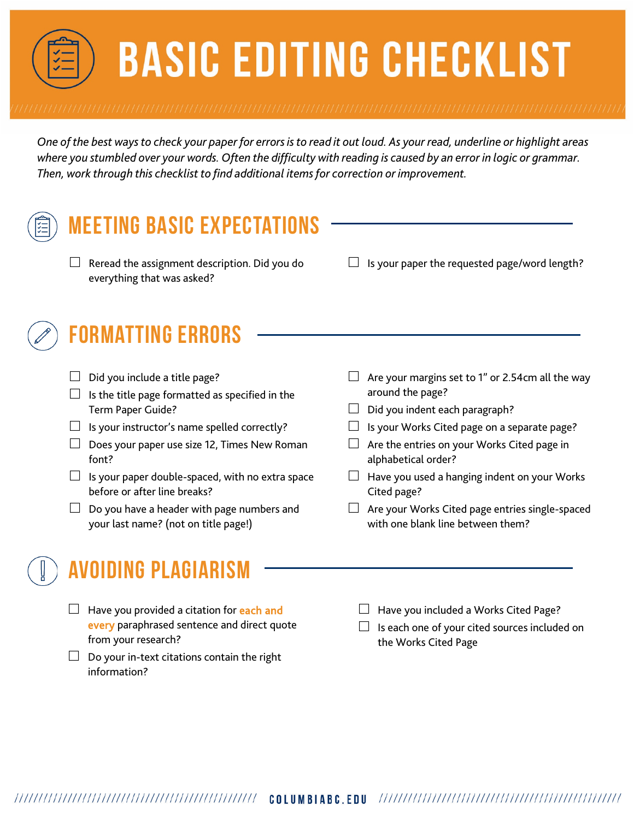# **BASIC EDITING CHECKLIST**

*One of the best ways to check your paper for errors is to read it out loud. As your read, underline or highlight areas where you stumbled over your words. Often the difficulty with reading is caused by an error in logic or grammar. Then, work through this checklist to find additional items for correction or improvement.*

#### **Meeting Basic Expectations**

- $\Box$  Reread the assignment description. Did you do everything that was asked?
- $\Box$  Is your paper the requested page/word length?

# **Formatting Errors**

- $\Box$  Did you include a title page?
- $\Box$  Is the title page formatted as specified in the Term Paper Guide?
- $\Box$  Is your instructor's name spelled correctly?
- $\Box$  Does your paper use size 12, Times New Roman font?
- $\Box$  Is your paper double-spaced, with no extra space before or after line breaks?
- $\Box$  Do you have a header with page numbers and your last name? (not on title page!)
- $\Box$  Are your margins set to 1" or 2.54cm all the way around the page?
- $\Box$  Did you indent each paragraph?
- $\Box$  Is your Works Cited page on a separate page?
- $\Box$  Are the entries on your Works Cited page in alphabetical order?
- $\Box$  Have you used a hanging indent on your Works Cited page?
- $\Box$  Are your Works Cited page entries single-spaced with one blank line between them?

### **AVOIDING PLAGIAR**

- $\Box$  Have you provided a citation for each and every paraphrased sentence and direct quote from your research?
- $\Box$  Do your in-text citations contain the right information?
- $\Box$  Have you included a Works Cited Page?
- $\Box$  Is each one of your cited sources included on the Works Cited Page